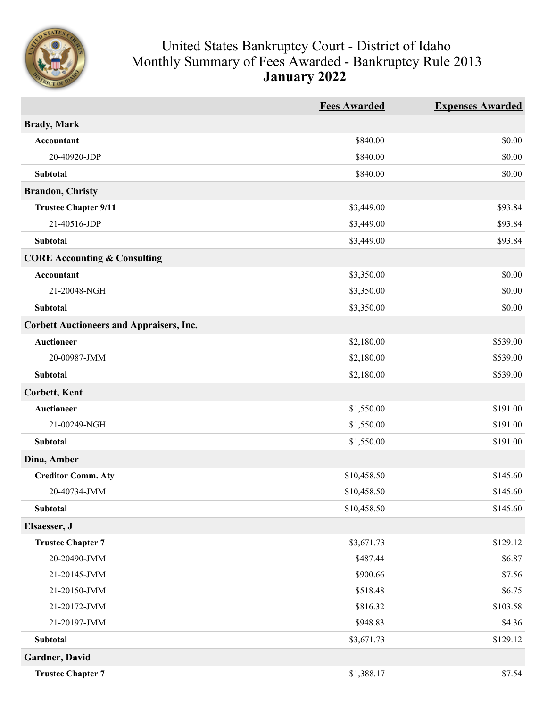

## United States Bankruptcy Court - District of Idaho Monthly Summary of Fees Awarded - Bankruptcy Rule 2013 **January 2022**

|                                                 | <b>Fees Awarded</b> | <b>Expenses Awarded</b> |
|-------------------------------------------------|---------------------|-------------------------|
| <b>Brady</b> , Mark                             |                     |                         |
| Accountant                                      | \$840.00            | \$0.00                  |
| 20-40920-JDP                                    | \$840.00            | \$0.00                  |
| Subtotal                                        | \$840.00            | \$0.00                  |
| <b>Brandon, Christy</b>                         |                     |                         |
| <b>Trustee Chapter 9/11</b>                     | \$3,449.00          | \$93.84                 |
| 21-40516-JDP                                    | \$3,449.00          | \$93.84                 |
| Subtotal                                        | \$3,449.00          | \$93.84                 |
| <b>CORE Accounting &amp; Consulting</b>         |                     |                         |
| <b>Accountant</b>                               | \$3,350.00          | \$0.00                  |
| 21-20048-NGH                                    | \$3,350.00          | \$0.00                  |
| Subtotal                                        | \$3,350.00          | \$0.00                  |
| <b>Corbett Auctioneers and Appraisers, Inc.</b> |                     |                         |
| <b>Auctioneer</b>                               | \$2,180.00          | \$539.00                |
| 20-00987-JMM                                    | \$2,180.00          | \$539.00                |
| Subtotal                                        | \$2,180.00          | \$539.00                |
| <b>Corbett, Kent</b>                            |                     |                         |
| <b>Auctioneer</b>                               | \$1,550.00          | \$191.00                |
| 21-00249-NGH                                    | \$1,550.00          | \$191.00                |
| Subtotal                                        | \$1,550.00          | \$191.00                |
| Dina, Amber                                     |                     |                         |
| <b>Creditor Comm. Aty</b>                       | \$10,458.50         | \$145.60                |
| 20-40734-JMM                                    | \$10,458.50         | \$145.60                |
| <b>Subtotal</b>                                 | \$10,458.50         | \$145.60                |
| Elsaesser, J                                    |                     |                         |
| <b>Trustee Chapter 7</b>                        | \$3,671.73          | \$129.12                |
| 20-20490-JMM                                    | \$487.44            | \$6.87                  |
| 21-20145-JMM                                    | \$900.66            | \$7.56                  |
| 21-20150-JMM                                    | \$518.48            | \$6.75                  |
| 21-20172-JMM                                    | \$816.32            | \$103.58                |
| 21-20197-JMM                                    | \$948.83            | \$4.36                  |
| Subtotal                                        | \$3,671.73          | \$129.12                |
| Gardner, David                                  |                     |                         |
| <b>Trustee Chapter 7</b>                        | \$1,388.17          | \$7.54                  |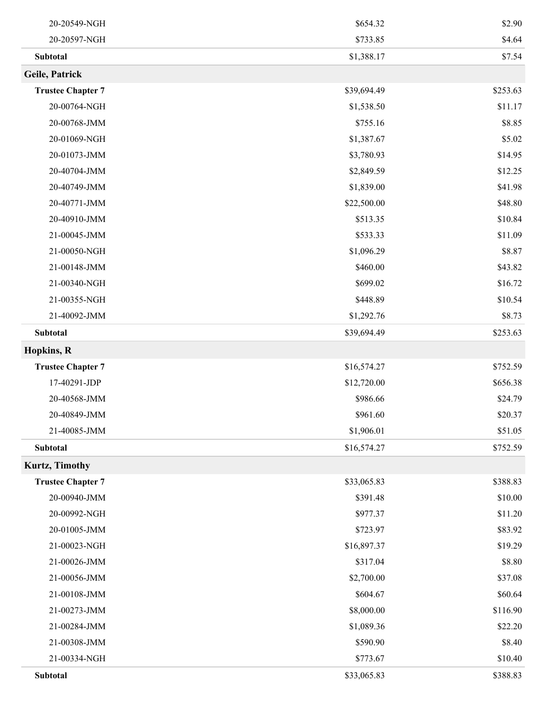| 20-20549-NGH             | \$654.32    | \$2.90   |
|--------------------------|-------------|----------|
| 20-20597-NGH             | \$733.85    | \$4.64   |
| Subtotal                 | \$1,388.17  | \$7.54   |
| Geile, Patrick           |             |          |
| <b>Trustee Chapter 7</b> | \$39,694.49 | \$253.63 |
| 20-00764-NGH             | \$1,538.50  | \$11.17  |
| 20-00768-JMM             | \$755.16    | \$8.85   |
| 20-01069-NGH             | \$1,387.67  | \$5.02   |
| 20-01073-JMM             | \$3,780.93  | \$14.95  |
| 20-40704-JMM             | \$2,849.59  | \$12.25  |
| 20-40749-JMM             | \$1,839.00  | \$41.98  |
| 20-40771-JMM             | \$22,500.00 | \$48.80  |
| 20-40910-JMM             | \$513.35    | \$10.84  |
| 21-00045-JMM             | \$533.33    | \$11.09  |
| 21-00050-NGH             | \$1,096.29  | \$8.87   |
| 21-00148-JMM             | \$460.00    | \$43.82  |
| 21-00340-NGH             | \$699.02    | \$16.72  |
| 21-00355-NGH             | \$448.89    | \$10.54  |
| 21-40092-JMM             | \$1,292.76  | \$8.73   |
| Subtotal                 | \$39,694.49 | \$253.63 |
| <b>Hopkins, R</b>        |             |          |
| <b>Trustee Chapter 7</b> | \$16,574.27 | \$752.59 |
| 17-40291-JDP             | \$12,720.00 | \$656.38 |
| 20-40568-JMM             | \$986.66    | \$24.79  |
| 20-40849-JMM             | \$961.60    | \$20.37  |
| 21-40085-JMM             | \$1,906.01  | \$51.05  |
| Subtotal                 | \$16,574.27 | \$752.59 |
| <b>Kurtz, Timothy</b>    |             |          |
| <b>Trustee Chapter 7</b> | \$33,065.83 | \$388.83 |
| 20-00940-JMM             | \$391.48    | \$10.00  |
| 20-00992-NGH             | \$977.37    | \$11.20  |
| 20-01005-JMM             | \$723.97    | \$83.92  |
| 21-00023-NGH             | \$16,897.37 | \$19.29  |
| 21-00026-JMM             | \$317.04    | \$8.80   |
| 21-00056-JMM             | \$2,700.00  | \$37.08  |
| 21-00108-JMM             | \$604.67    | \$60.64  |
| 21-00273-JMM             | \$8,000.00  | \$116.90 |
| 21-00284-JMM             | \$1,089.36  | \$22.20  |
| 21-00308-JMM             | \$590.90    | \$8.40   |
| 21-00334-NGH             | \$773.67    | \$10.40  |
| Subtotal                 | \$33,065.83 | \$388.83 |